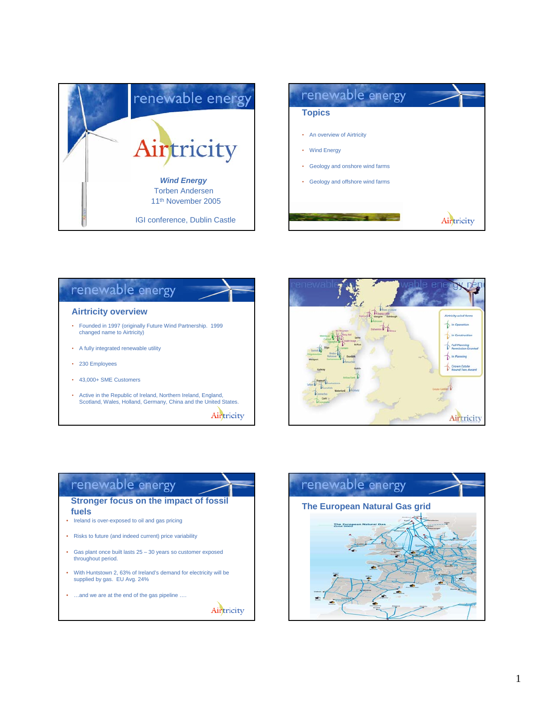



### renewable energy **Airtricity overview** • Founded in 1997 (originally Future Wind Partnership. 1999 changed name to Airtricity) • A fully integrated renewable utility • 230 Employees • 43,000+ SME Customers • Active in the Republic of Ireland, Northern Ireland, England, Scotland, Wales, Holland, Germany, China and the United States. Airtricity



## renewable energy **Stronger focus on the impact of fossil**

## **fuels**

- Ireland is over-exposed to oil and gas pricing
- Risks to future (and indeed current) price variability
- Gas plant once built lasts  $25 30$  years so customer exposed throughout period.
- With Huntstown 2, 63% of Ireland's demand for electricity will be supplied by gas. EU Avg. 24%
- ...and we are at the end of the gas pipeline ....



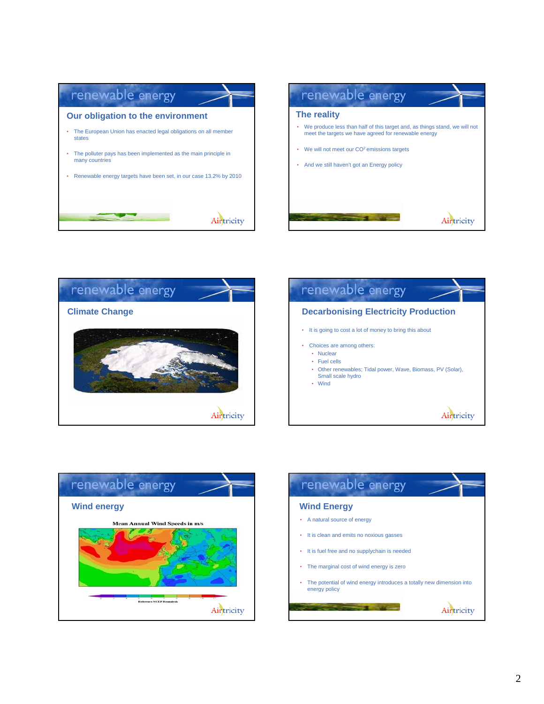







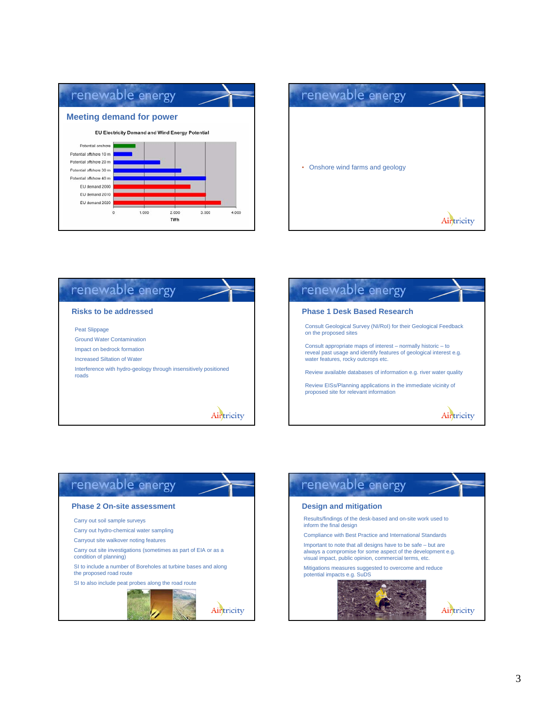







## renewable energy

#### **Phase 2 On-site assessment**

Carry out soil sample surveys

Carry out hydro-chemical water sampling

Carryout site walkover noting features

Carry out site investigations (sometimes as part of EIA or as a condition of planning)

SI to include a number of Boreholes at turbine bases and along the proposed road route

SI to also include peat probes along the road route



Airtricity

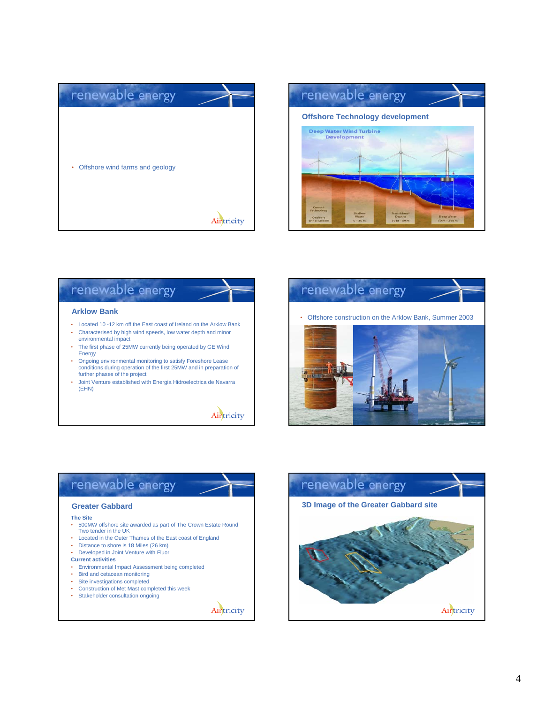



# renewable energy

#### **Arklow Bank**

- Located 10 -12 km off the East coast of Ireland on the Arklow Bank • Characterised by high wind speeds, low water depth and minor
- environmental impact • The first phase of 25MW currently being operated by GE Wind
- Energy • Ongoing environmental monitoring to satisfy Foreshore Lease
- conditions during operation of the first 25MW and in preparation of further phases of the project
- Joint Venture established with Energia Hidroelectrica de Navarra (EHN)





### renewable energy **Greater Gabbard The Site** • 500MW offshore site awarded as part of The Crown Estate Round Two tender in the UK • Located in the Outer Thames of the East coast of England • Distance to shore is 18 Miles (26 km) • Developed in Joint Venture with Fluor **Current activities** • Environmental Impact Assessment being completed • Bird and cetacean monitoring • Site investigations completed • Construction of Met Mast completed this week<br>• Stakeholder consultation ongoing Stakeholder consultation ongoing

Airtricity

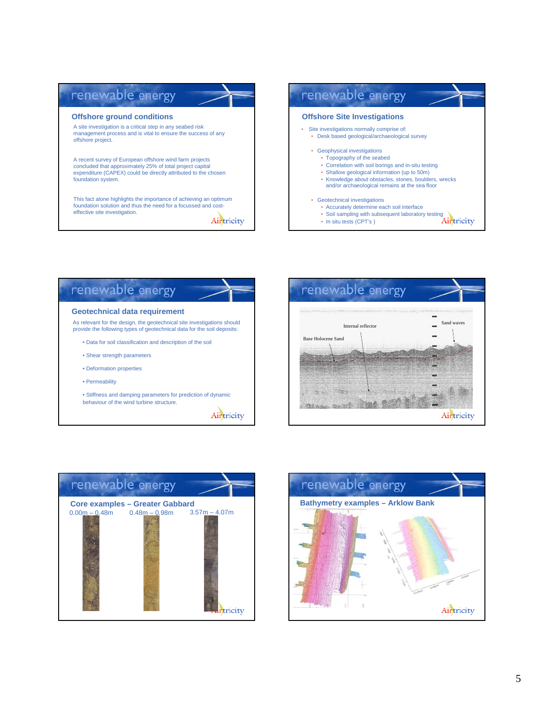#### renewable energy renewable energy **Offshore ground conditions Offshore Site Investigations** A site investigation is a critical step in any seabed risk • Site investigations normally comprise of: management process and is vital to ensure the success of any • Desk based geological/archaeological survey offshore project. • Geophysical investigations • Topography of the seabed A recent survey of European offshore wind farm projects • Correlation with soil borings and in-situ testing concluded that approximately 25% of total project capital expenditure (CAPEX) could be directly attributed to the chosen • Shallow geological information (up to 50m) • Knowledge about obstacles, stones, boulders, wrecks foundation system. and/or archaeological remains at the sea floor • Geotechnical investigations<br>• Accurately determine each soil interface This fact alone highlights the importance of achieving an optimum foundation solution and thus the need for a focussed and cost-• Accurately determine each soil interface effective site investigation. • Soil sampling with subsequent laboratory testing Airtricity • In situ tests (CPT's)